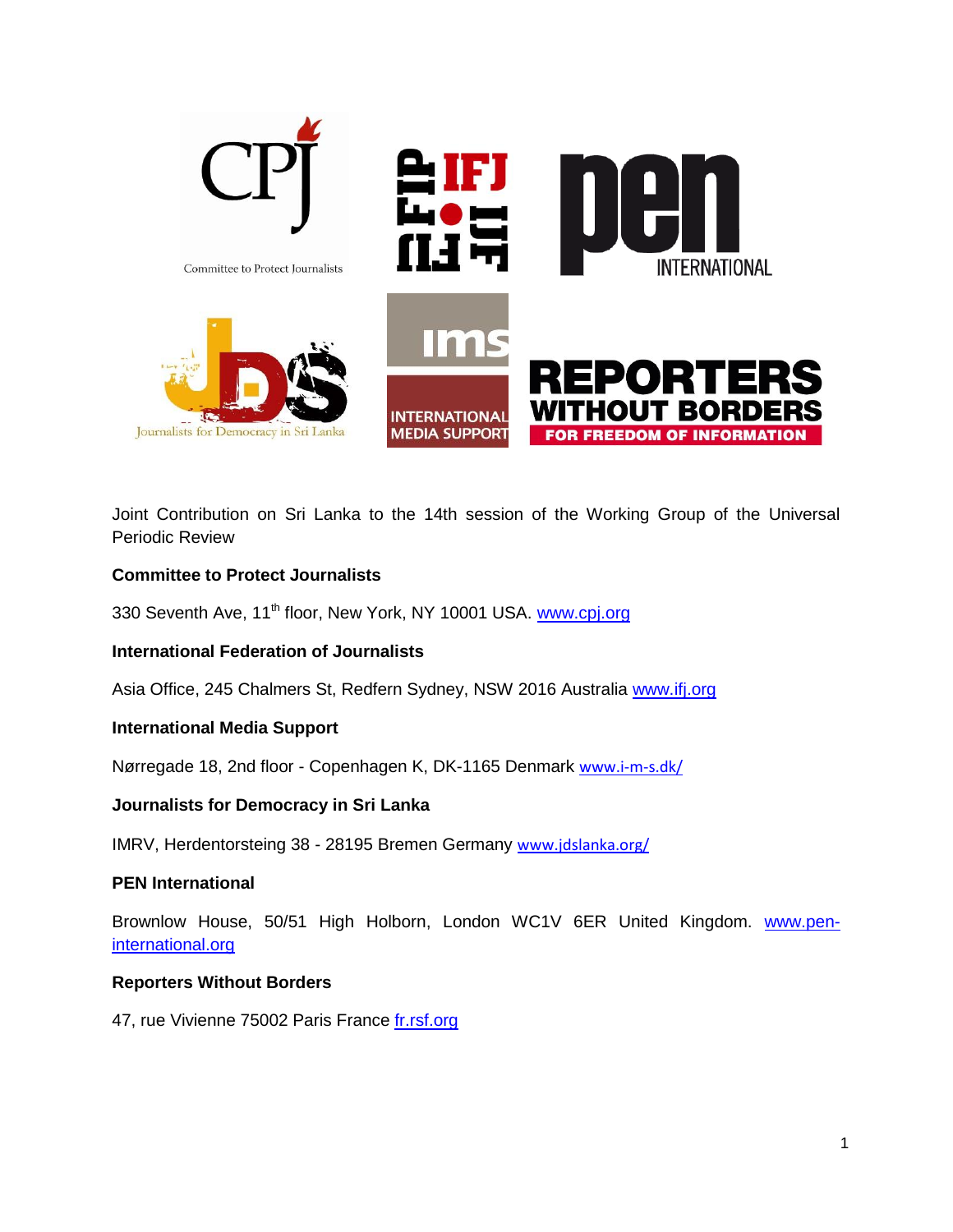

Joint Contribution on Sri Lanka to the 14th session of the Working Group of the Universal Periodic Review

## **Committee to Protect Journalists**

330 Seventh Ave, 11<sup>th</sup> floor, New York, NY 10001 USA. [www.cpj.org](http://www.cpj.org/)

## **International Federation of Journalists**

Asia Office, 245 Chalmers St, Redfern Sydney, NSW 2016 Australia [www.ifj.org](http://www.ifj.org/)

## **International Media Support**

Nørregade 18, 2nd floor - Copenhagen K, DK-1165 Denmark [www.i-m-s.dk/](http://www.i-m-s.dk/)

## **Journalists for Democracy in Sri Lanka**

IMRV, Herdentorsteing 38 - 28195 Bremen Germany [www.jdslanka.org/](http://www.jdslanka.org/)

## **PEN International**

Brownlow House, 50/51 High Holborn, London WC1V 6ER United Kingdom. [www.pen](http://www.pen-international.org/)[international.org](http://www.pen-international.org/)

## **Reporters Without Borders**

47, rue Vivienne 75002 Paris France [fr.rsf.org](http://fr.rsf.org/)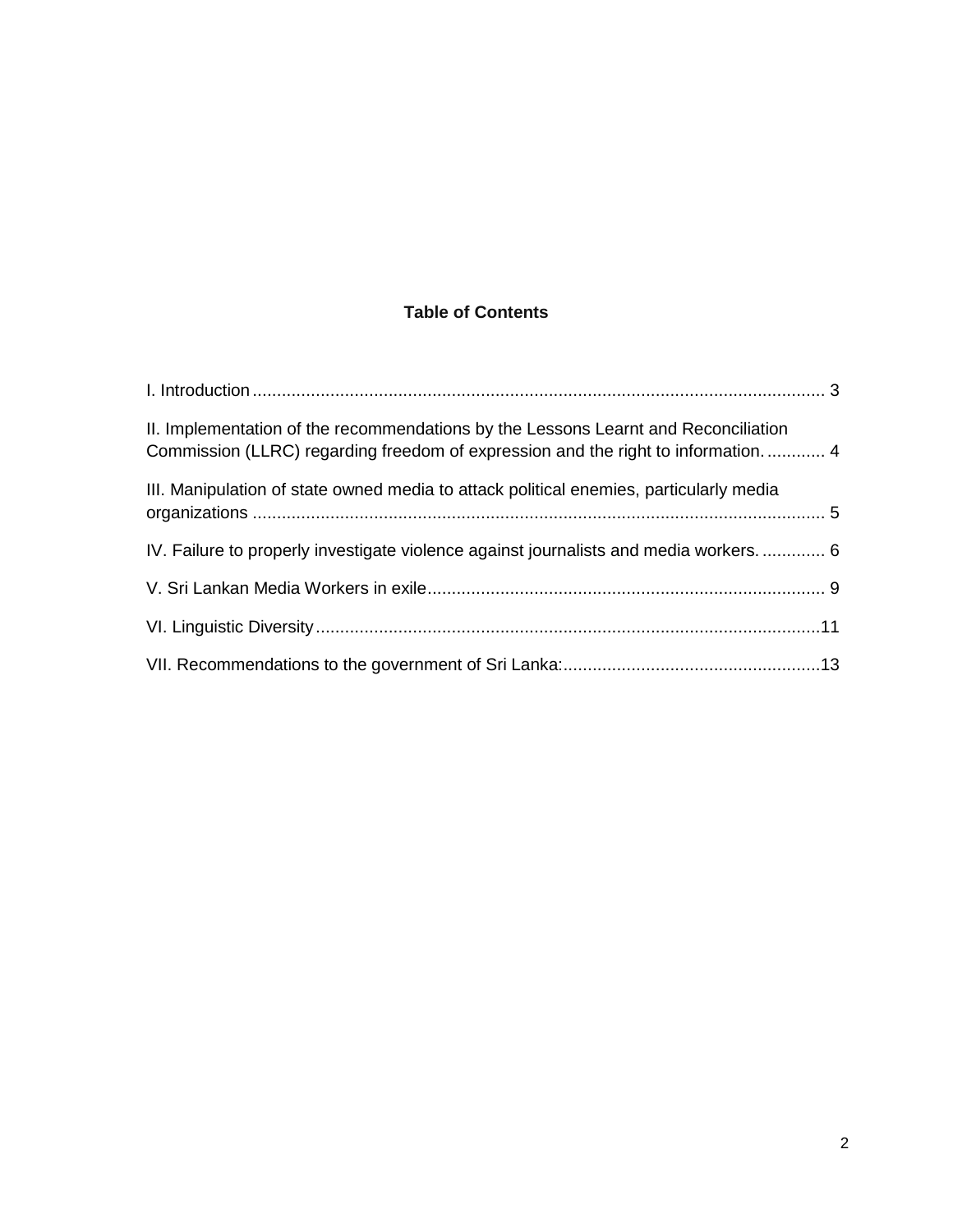# **Table of Contents**

| II. Implementation of the recommendations by the Lessons Learnt and Reconciliation<br>Commission (LLRC) regarding freedom of expression and the right to information 4 |  |  |
|------------------------------------------------------------------------------------------------------------------------------------------------------------------------|--|--|
| III. Manipulation of state owned media to attack political enemies, particularly media                                                                                 |  |  |
| IV. Failure to properly investigate violence against journalists and media workers 6                                                                                   |  |  |
|                                                                                                                                                                        |  |  |
|                                                                                                                                                                        |  |  |
|                                                                                                                                                                        |  |  |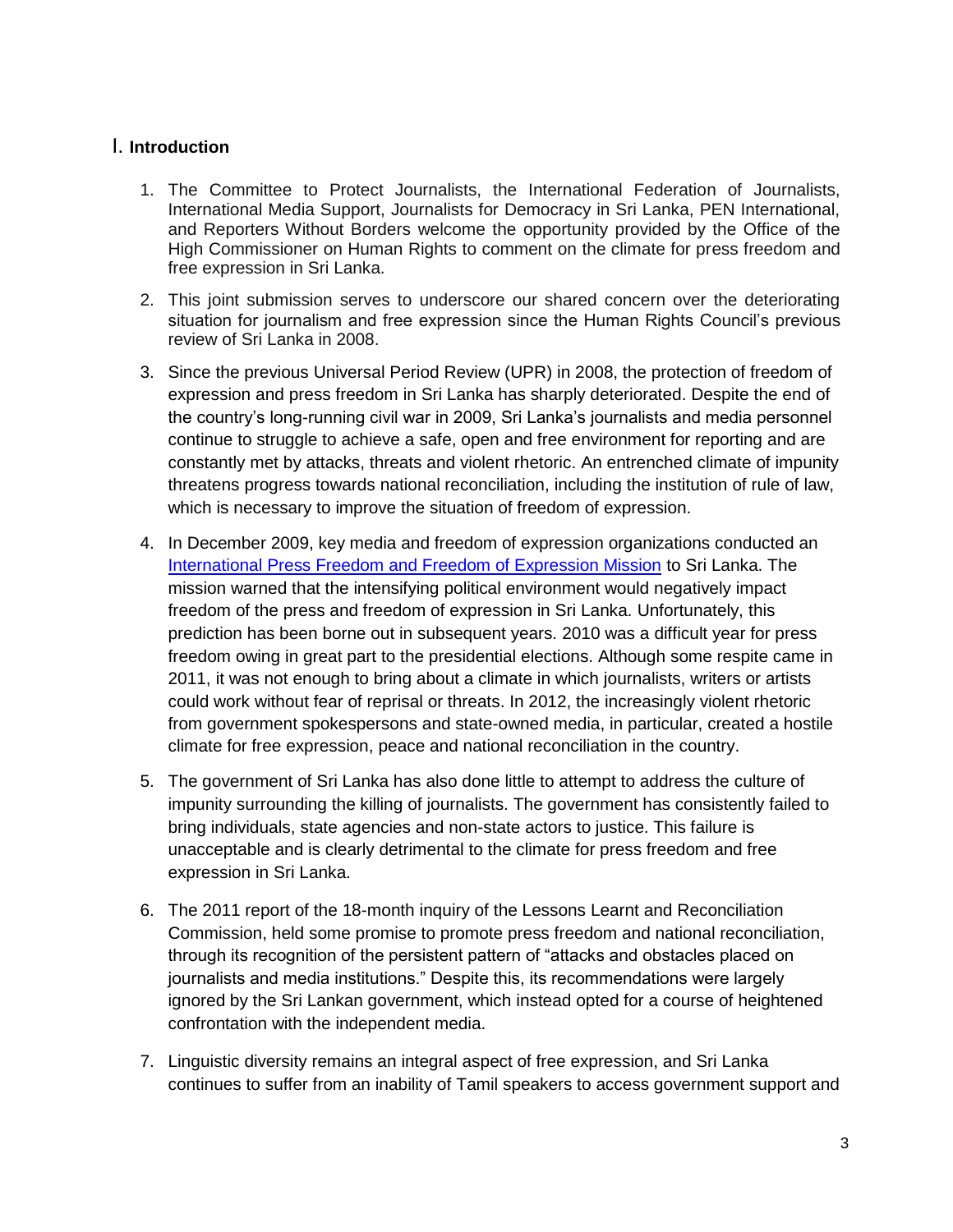# <span id="page-2-0"></span>I. **Introduction**

- 1. The Committee to Protect Journalists, the International Federation of Journalists, International Media Support, Journalists for Democracy in Sri Lanka, PEN International, and Reporters Without Borders welcome the opportunity provided by the Office of the High Commissioner on Human Rights to comment on the climate for press freedom and free expression in Sri Lanka.
- 2. This joint submission serves to underscore our shared concern over the deteriorating situation for journalism and free expression since the Human Rights Council's previous review of Sri Lanka in 2008.
- 3. Since the previous Universal Period Review (UPR) in 2008, the protection of freedom of expression and press freedom in Sri Lanka has sharply deteriorated. Despite the end of the country's long-running civil war in 2009, Sri Lanka's journalists and media personnel continue to struggle to achieve a safe, open and free environment for reporting and are constantly met by attacks, threats and violent rhetoric. An entrenched climate of impunity threatens progress towards national reconciliation, including the institution of rule of law, which is necessary to improve the situation of freedom of expression.
- 4. In December 2009, key media and freedom of expression organizations conducted an [International Press Freedom and Freedom of Expression Mission](http://asiapacific.ifj.org/assets/docs/236/115/1d464ec-8892c73.pdf) to Sri Lanka. The mission warned that the intensifying political environment would negatively impact freedom of the press and freedom of expression in Sri Lanka. Unfortunately, this prediction has been borne out in subsequent years. 2010 was a difficult year for press freedom owing in great part to the presidential elections. Although some respite came in 2011, it was not enough to bring about a climate in which journalists, writers or artists could work without fear of reprisal or threats. In 2012, the increasingly violent rhetoric from government spokespersons and state-owned media, in particular, created a hostile climate for free expression, peace and national reconciliation in the country.
- 5. The government of Sri Lanka has also done little to attempt to address the culture of impunity surrounding the killing of journalists. The government has consistently failed to bring individuals, state agencies and non-state actors to justice. This failure is unacceptable and is clearly detrimental to the climate for press freedom and free expression in Sri Lanka.
- 6. The 2011 report of the 18-month inquiry of the Lessons Learnt and Reconciliation Commission, held some promise to promote press freedom and national reconciliation, through its recognition of the persistent pattern of "attacks and obstacles placed on journalists and media institutions." Despite this, its recommendations were largely ignored by the Sri Lankan government, which instead opted for a course of heightened confrontation with the independent media.
- 7. Linguistic diversity remains an integral aspect of free expression, and Sri Lanka continues to suffer from an inability of Tamil speakers to access government support and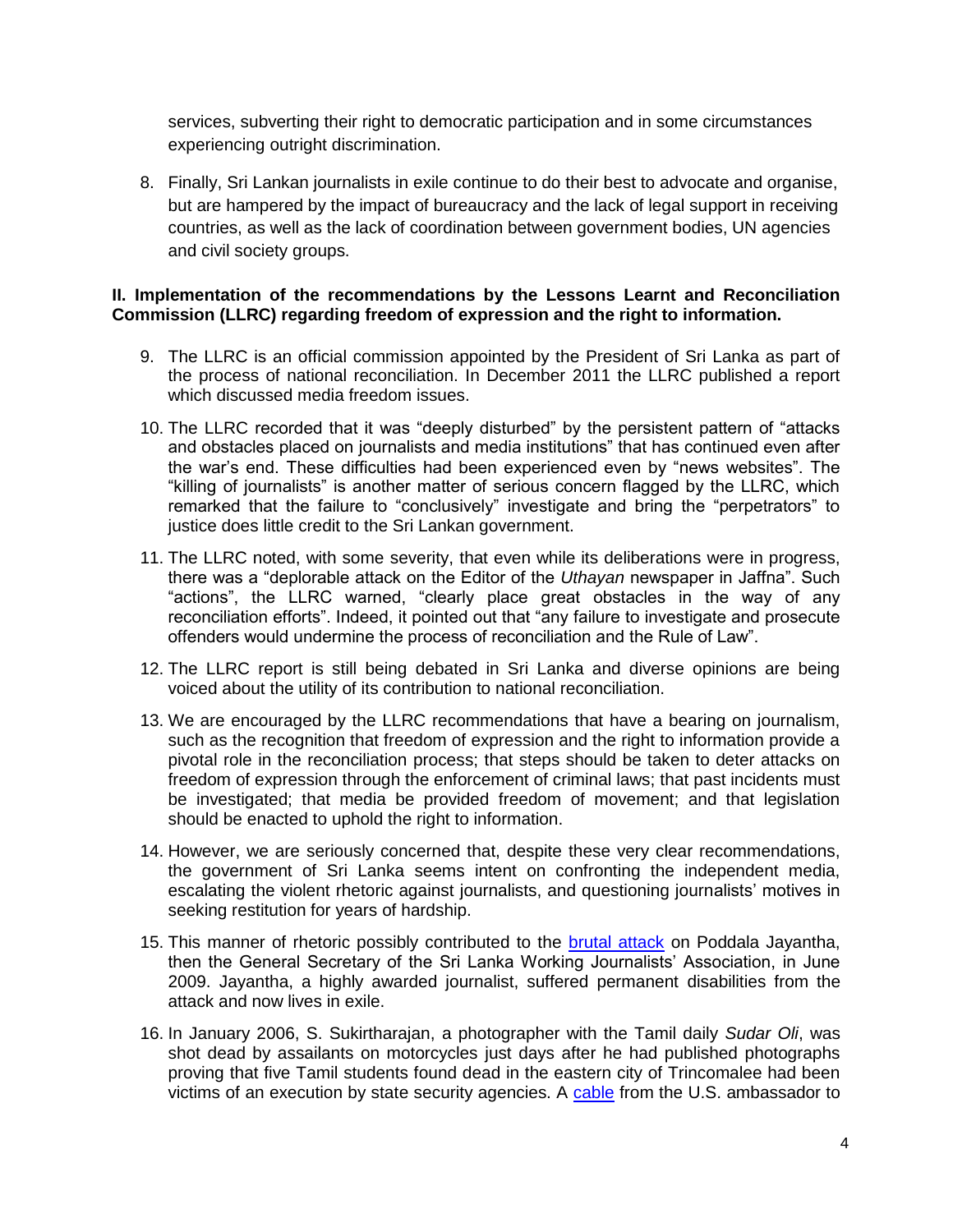services, subverting their right to democratic participation and in some circumstances experiencing outright discrimination.

8. Finally, Sri Lankan journalists in exile continue to do their best to advocate and organise, but are hampered by the impact of bureaucracy and the lack of legal support in receiving countries, as well as the lack of coordination between government bodies, UN agencies and civil society groups.

## <span id="page-3-0"></span>**II. Implementation of the recommendations by the Lessons Learnt and Reconciliation Commission (LLRC) regarding freedom of expression and the right to information.**

- 9. The LLRC is an official commission appointed by the President of Sri Lanka as part of the process of national reconciliation. In December 2011 the LLRC published a report which discussed media freedom issues.
- 10. The LLRC recorded that it was "deeply disturbed" by the persistent pattern of "attacks and obstacles placed on journalists and media institutions" that has continued even after the war's end. These difficulties had been experienced even by "news websites". The "killing of journalists" is another matter of serious concern flagged by the LLRC, which remarked that the failure to "conclusively" investigate and bring the "perpetrators" to justice does little credit to the Sri Lankan government.
- 11. The LLRC noted, with some severity, that even while its deliberations were in progress, there was a "deplorable attack on the Editor of the *Uthayan* newspaper in Jaffna". Such "actions", the LLRC warned, "clearly place great obstacles in the way of any reconciliation efforts". Indeed, it pointed out that "any failure to investigate and prosecute offenders would undermine the process of reconciliation and the Rule of Law‖.
- 12. The LLRC report is still being debated in Sri Lanka and diverse opinions are being voiced about the utility of its contribution to national reconciliation.
- 13. We are encouraged by the LLRC recommendations that have a bearing on journalism, such as the recognition that freedom of expression and the right to information provide a pivotal role in the reconciliation process; that steps should be taken to deter attacks on freedom of expression through the enforcement of criminal laws; that past incidents must be investigated; that media be provided freedom of movement; and that legislation should be enacted to uphold the right to information.
- 14. However, we are seriously concerned that, despite these very clear recommendations, the government of Sri Lanka seems intent on confronting the independent media, escalating the violent rhetoric against journalists, and questioning journalists' motives in seeking restitution for years of hardship.
- 15. This manner of rhetoric possibly contributed to the [brutal attack](http://asiapacific.ifj.org/en/articles/sri-lankan-government-must-end-incitement-to-violence-against-journalists) on Poddala Jayantha, then the General Secretary of the Sri Lanka Working Journalists' Association, in June 2009. Jayantha, a highly awarded journalist, suffered permanent disabilities from the attack and now lives in exile.
- 16. In January 2006, S. Sukirtharajan, a photographer with the Tamil daily *Sudar Oli*, was shot dead by assailants on motorcycles just days after he had published photographs proving that five Tamil students found dead in the eastern city of Trincomalee had been victims of an execution by state security agencies. A [cable](http://asiapacific.ifj.org/en/articles/sri-lankan-government-must-end-incitement-to-violence-against-journalists) from the U.S. ambassador to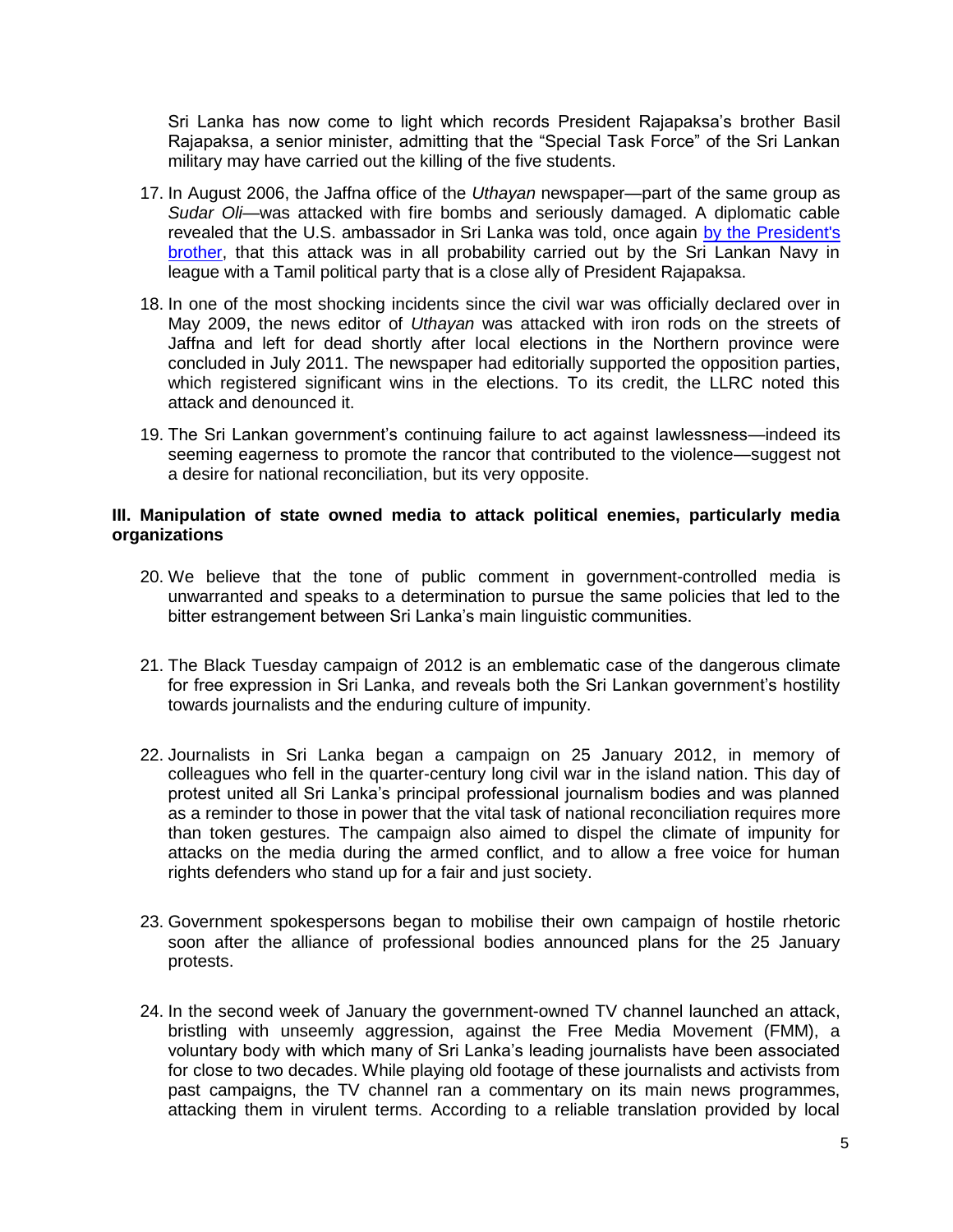Sri Lanka has now come to light which records President Rajapaksa's brother Basil Rajapaksa, a senior minister, admitting that the "Special Task Force" of the Sri Lankan military may have carried out the killing of the five students.

- 17. In August 2006, the Jaffna office of the *Uthayan* newspaper—part of the same group as *Sudar Oli*—was attacked with fire bombs and seriously damaged. A diplomatic cable revealed that the U.S. ambassador in Sri Lanka was told, once again [by the President's](http://colombotelegraph.com/2012/02/03/wikileaks-looked-like-epdp-and-sl-navy-burnt-the-uthayan-basil-to-us/)  [brother,](http://colombotelegraph.com/2012/02/03/wikileaks-looked-like-epdp-and-sl-navy-burnt-the-uthayan-basil-to-us/) that this attack was in all probability carried out by the Sri Lankan Navy in league with a Tamil political party that is a close ally of President Rajapaksa.
- 18. In one of the most shocking incidents since the civil war was officially declared over in May 2009, the news editor of *Uthayan* was attacked with iron rods on the streets of Jaffna and left for dead shortly after local elections in the Northern province were concluded in July 2011. The newspaper had editorially supported the opposition parties, which registered significant wins in the elections. To its credit, the LLRC noted this attack and denounced it.
- 19. The Sri Lankan government's continuing failure to act against lawlessness—indeed its seeming eagerness to promote the rancor that contributed to the violence—suggest not a desire for national reconciliation, but its very opposite.

## <span id="page-4-0"></span>**III. Manipulation of state owned media to attack political enemies, particularly media organizations**

- 20. We believe that the tone of public comment in government-controlled media is unwarranted and speaks to a determination to pursue the same policies that led to the bitter estrangement between Sri Lanka's main linguistic communities.
- 21. The Black Tuesday campaign of 2012 is an emblematic case of the dangerous climate for free expression in Sri Lanka, and reveals both the Sri Lankan government's hostility towards journalists and the enduring culture of impunity.
- 22. Journalists in Sri Lanka began a campaign on 25 January 2012, in memory of colleagues who fell in the quarter-century long civil war in the island nation. This day of protest united all Sri Lanka's principal professional journalism bodies and was planned as a reminder to those in power that the vital task of national reconciliation requires more than token gestures. The campaign also aimed to dispel the climate of impunity for attacks on the media during the armed conflict, and to allow a free voice for human rights defenders who stand up for a fair and just society.
- 23. Government spokespersons began to mobilise their own campaign of hostile rhetoric soon after the alliance of professional bodies announced plans for the 25 January protests.
- 24. In the second week of January the government-owned TV channel launched an attack, bristling with unseemly aggression, against the Free Media Movement (FMM), a voluntary body with which many of Sri Lanka's leading journalists have been associated for close to two decades. While playing old footage of these journalists and activists from past campaigns, the TV channel ran a commentary on its main news programmes, attacking them in virulent terms. According to a reliable translation provided by local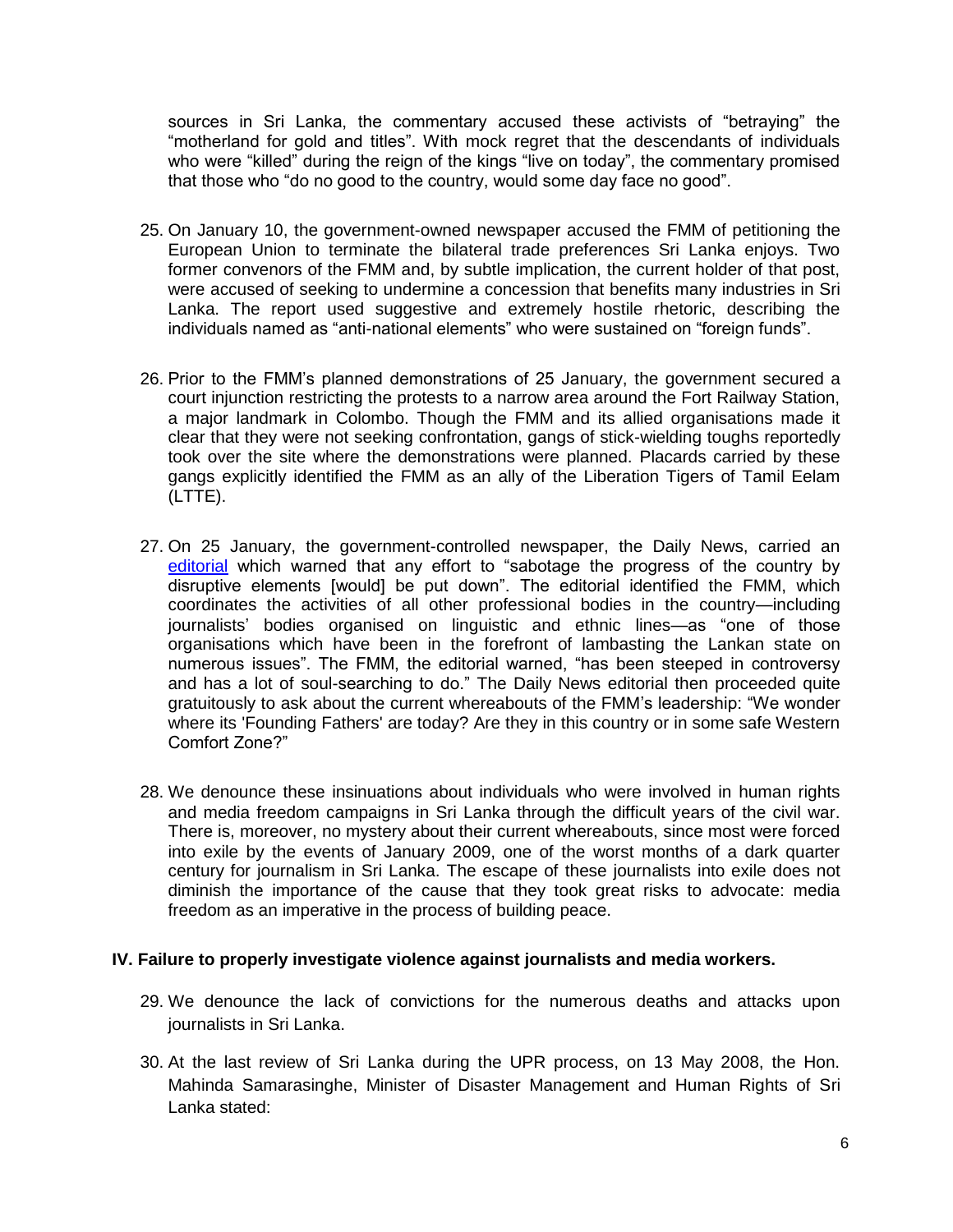sources in Sri Lanka, the commentary accused these activists of "betraying" the ―motherland for gold and titles‖. With mock regret that the descendants of individuals who were "killed" during the reign of the kings "live on today", the commentary promised that those who "do no good to the country, would some day face no good".

- 25. On January 10, the government-owned newspaper accused the FMM of petitioning the European Union to terminate the bilateral trade preferences Sri Lanka enjoys. Two former convenors of the FMM and, by subtle implication, the current holder of that post, were accused of seeking to undermine a concession that benefits many industries in Sri Lanka. The report used suggestive and extremely hostile rhetoric, describing the individuals named as "anti-national elements" who were sustained on "foreign funds".
- 26. Prior to the FMM's planned demonstrations of 25 January, the government secured a court injunction restricting the protests to a narrow area around the Fort Railway Station, a major landmark in Colombo. Though the FMM and its allied organisations made it clear that they were not seeking confrontation, gangs of stick-wielding toughs reportedly took over the site where the demonstrations were planned. Placards carried by these gangs explicitly identified the FMM as an ally of the Liberation Tigers of Tamil Eelam (LTTE).
- 27. On 25 January, the government-controlled newspaper, the Daily News, carried an [editorial](http://www.dailynews.lk/2012/01/25/main_Editorial.asp) which warned that any effort to "sabotage the progress of the country by disruptive elements [would] be put down". The editorial identified the FMM, which coordinates the activities of all other professional bodies in the country—including journalists' bodies organised on linguistic and ethnic lines—as "one of those organisations which have been in the forefront of lambasting the Lankan state on numerous issues". The FMM, the editorial warned, "has been steeped in controversy and has a lot of soul-searching to do." The Daily News editorial then proceeded quite gratuitously to ask about the current whereabouts of the FMM's leadership: "We wonder where its 'Founding Fathers' are today? Are they in this country or in some safe Western Comfort Zone?"
- 28. We denounce these insinuations about individuals who were involved in human rights and media freedom campaigns in Sri Lanka through the difficult years of the civil war. There is, moreover, no mystery about their current whereabouts, since most were forced into exile by the events of January 2009, one of the worst months of a dark quarter century for journalism in Sri Lanka. The escape of these journalists into exile does not diminish the importance of the cause that they took great risks to advocate: media freedom as an imperative in the process of building peace.

## <span id="page-5-0"></span>**IV. Failure to properly investigate violence against journalists and media workers.**

- 29. We denounce the lack of convictions for the numerous deaths and attacks upon journalists in Sri Lanka.
- 30. At the last review of Sri Lanka during the UPR process, on 13 May 2008, the Hon. Mahinda Samarasinghe, Minister of Disaster Management and Human Rights of Sri Lanka stated: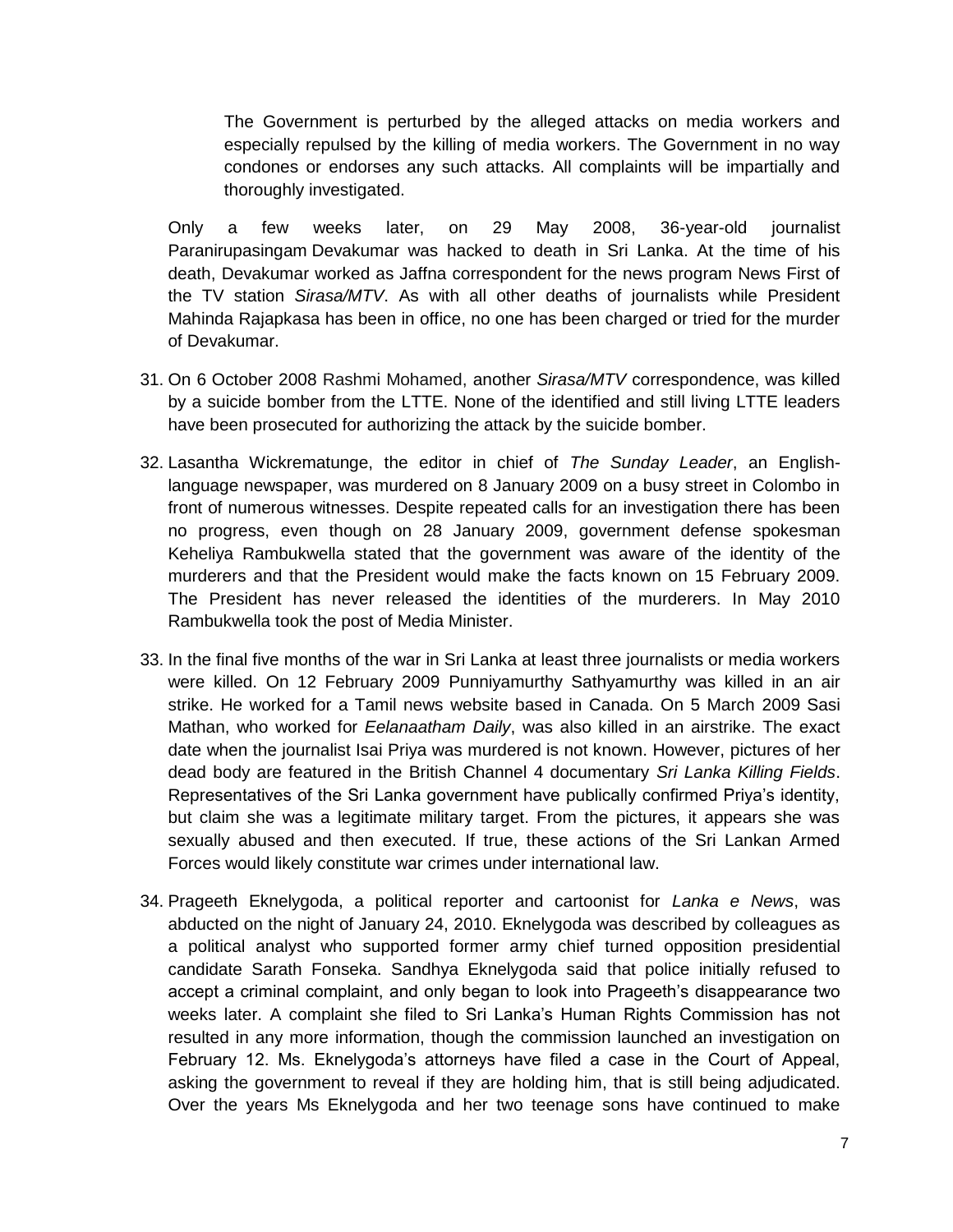The Government is perturbed by the alleged attacks on media workers and especially repulsed by the killing of media workers. The Government in no way condones or endorses any such attacks. All complaints will be impartially and thoroughly investigated.

Only a few weeks later, on 29 May 2008, 36-year-old journalist Paranirupasingam Devakumar was hacked to death in Sri Lanka. At the time of his death, Devakumar worked as Jaffna correspondent for the news program News First of the TV station *Sirasa/MTV*. As with all other deaths of journalists while President Mahinda Rajapkasa has been in office, no one has been charged or tried for the murder of Devakumar.

- 31. On 6 October 2008 Rashmi Mohamed, another *Sirasa/MTV* correspondence, was killed by a suicide bomber from the LTTE. None of the identified and still living LTTE leaders have been prosecuted for authorizing the attack by the suicide bomber.
- 32. Lasantha Wickrematunge, the editor in chief of *The Sunday Leader*, an Englishlanguage newspaper, was murdered on 8 January 2009 on a busy street in Colombo in front of numerous witnesses. Despite repeated calls for an investigation there has been no progress, even though on 28 January 2009, government defense spokesman Keheliya Rambukwella stated that the government was aware of the identity of the murderers and that the President would make the facts known on 15 February 2009. The President has never released the identities of the murderers. In May 2010 Rambukwella took the post of Media Minister.
- 33. In the final five months of the war in Sri Lanka at least three journalists or media workers were killed. On 12 February 2009 Punniyamurthy Sathyamurthy was killed in an air strike. He worked for a Tamil news website based in Canada. On 5 March 2009 Sasi Mathan, who worked for *Eelanaatham Daily*, was also killed in an airstrike. The exact date when the journalist Isai Priya was murdered is not known. However, pictures of her dead body are featured in the British Channel 4 documentary *Sri Lanka Killing Fields*. Representatives of the Sri Lanka government have publically confirmed Priya's identity, but claim she was a legitimate military target. From the pictures, it appears she was sexually abused and then executed. If true, these actions of the Sri Lankan Armed Forces would likely constitute war crimes under international law.
- 34. Prageeth Eknelygoda, a political reporter and cartoonist for *Lanka e News*, was abducted on the night of January 24, 2010. Eknelygoda was described by colleagues as a political analyst who supported former army chief turned opposition presidential candidate Sarath Fonseka. Sandhya Eknelygoda said that police initially refused to accept a criminal complaint, and only began to look into Prageeth's disappearance two weeks later. A complaint she filed to Sri Lanka's Human Rights Commission has not resulted in any more information, though the commission launched an investigation on February 12. Ms. Eknelygoda's attorneys have filed a case in the Court of Appeal, asking the government to reveal if they are holding him, that is still being adjudicated. Over the years Ms Eknelygoda and her two teenage sons have continued to make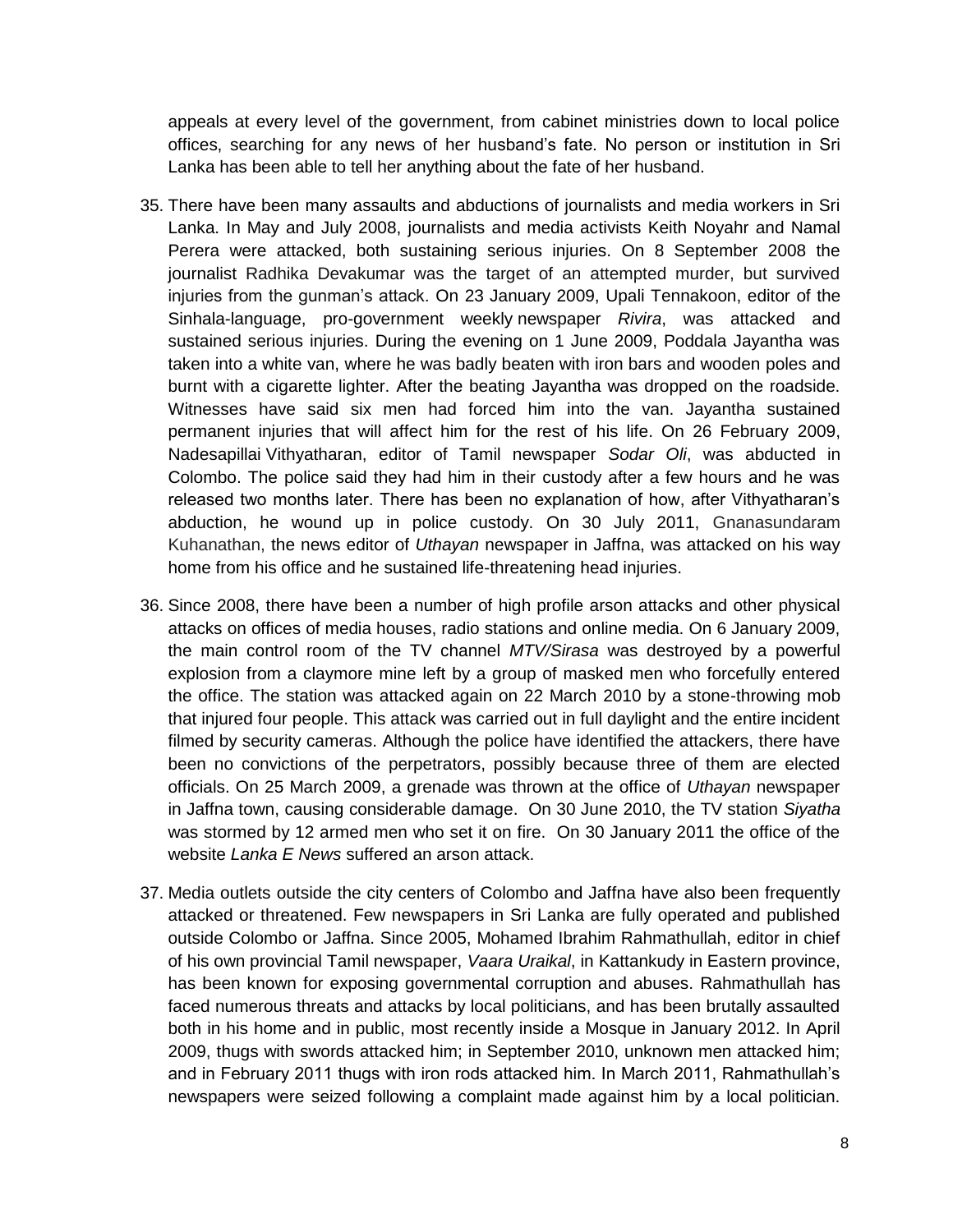appeals at every level of the government, from cabinet ministries down to local police offices, searching for any news of her husband's fate. No person or institution in Sri Lanka has been able to tell her anything about the fate of her husband.

- 35. There have been many assaults and abductions of journalists and media workers in Sri Lanka. In May and July 2008, journalists and media activists Keith Noyahr and Namal Perera were attacked, both sustaining serious injuries. On 8 September 2008 the journalist Radhika Devakumar was the target of an attempted murder, but survived injuries from the gunman's attack. On 23 January 2009, Upali Tennakoon, editor of the Sinhala-language, pro-government weekly newspaper *Rivira*, was attacked and sustained serious injuries. During the evening on 1 June 2009, Poddala Jayantha was taken into a white van, where he was badly beaten with iron bars and wooden poles and burnt with a cigarette lighter. After the beating Jayantha was dropped on the roadside. Witnesses have said six men had forced him into the van. Jayantha sustained permanent injuries that will affect him for the rest of his life. On 26 February 2009, Nadesapillai Vithyatharan, editor of Tamil newspaper *Sodar Oli*, was abducted in Colombo. The police said they had him in their custody after a few hours and he was released two months later. There has been no explanation of how, after Vithyatharan's abduction, he wound up in police custody. On 30 July 2011, Gnanasundaram Kuhanathan, the news editor of *Uthayan* newspaper in Jaffna, was attacked on his way home from his office and he sustained life-threatening head injuries.
- 36. Since 2008, there have been a number of high profile arson attacks and other physical attacks on offices of media houses, radio stations and online media. On 6 January 2009, the main control room of the TV channel *MTV/Sirasa* was destroyed by a powerful explosion from a claymore mine left by a group of masked men who forcefully entered the office. The station was attacked again on 22 March 2010 by a stone-throwing mob that injured four people. This attack was carried out in full daylight and the entire incident filmed by security cameras. Although the police have identified the attackers, there have been no convictions of the perpetrators, possibly because three of them are elected officials. On 25 March 2009, a grenade was thrown at the office of *Uthayan* newspaper in Jaffna town, causing considerable damage. On 30 June 2010, the TV station *Siyatha* was stormed by 12 armed men who set it on fire. On 30 January 2011 the office of the website *Lanka E News* suffered an arson attack.
- 37. Media outlets outside the city centers of Colombo and Jaffna have also been frequently attacked or threatened. Few newspapers in Sri Lanka are fully operated and published outside Colombo or Jaffna. Since 2005, Mohamed Ibrahim Rahmathullah, editor in chief of his own provincial Tamil newspaper, *Vaara Uraikal*, in Kattankudy in Eastern province, has been known for exposing governmental corruption and abuses. Rahmathullah has faced numerous threats and attacks by local politicians, and has been brutally assaulted both in his home and in public, most recently inside a Mosque in January 2012. In April 2009, thugs with swords attacked him; in September 2010, unknown men attacked him; and in February 2011 thugs with iron rods attacked him. In March 2011, Rahmathullah's newspapers were seized following a complaint made against him by a local politician.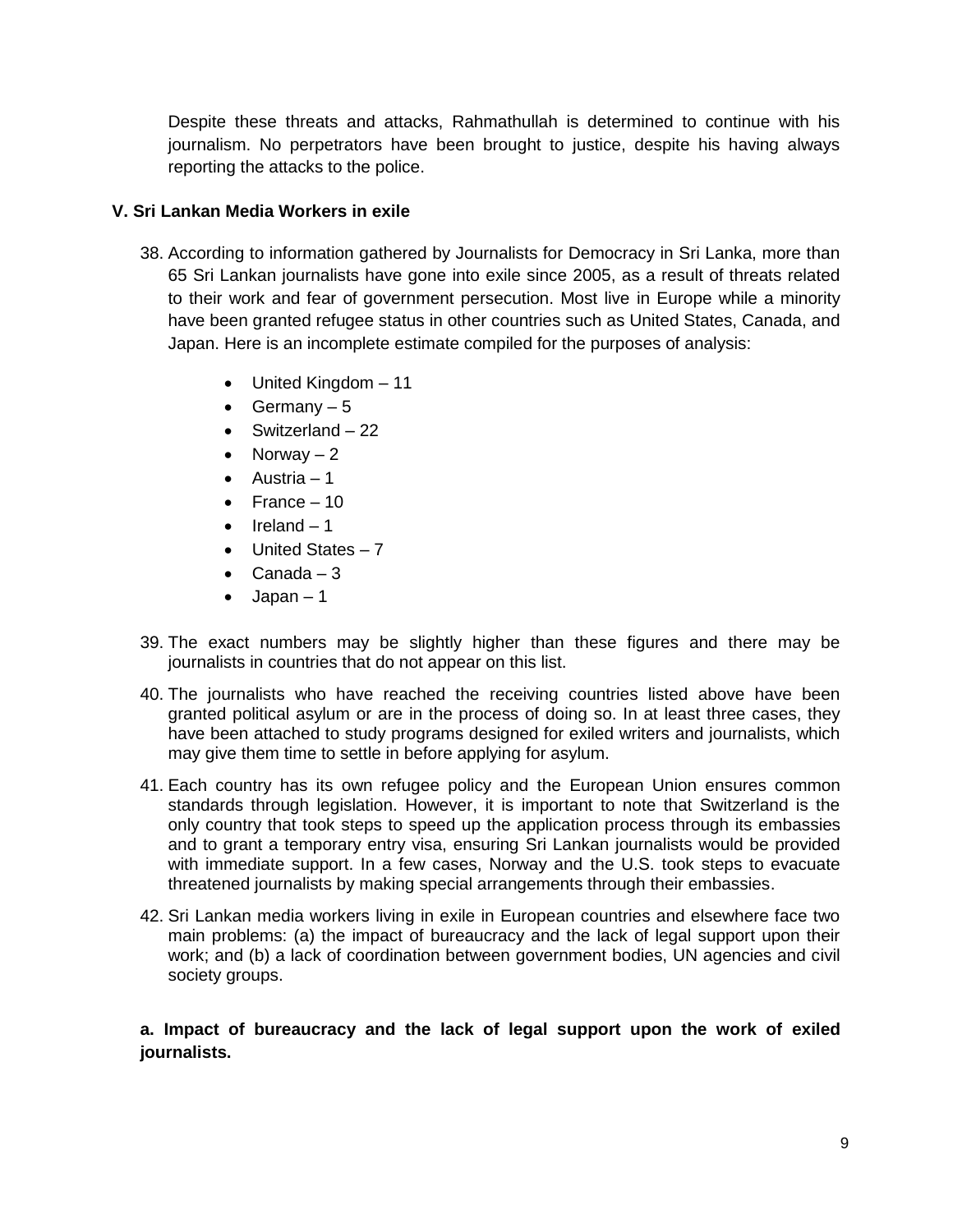Despite these threats and attacks, Rahmathullah is determined to continue with his journalism. No perpetrators have been brought to justice, despite his having always reporting the attacks to the police.

# <span id="page-8-0"></span>**V. Sri Lankan Media Workers in exile**

- 38. According to information gathered by Journalists for Democracy in Sri Lanka, more than 65 Sri Lankan journalists have gone into exile since 2005, as a result of threats related to their work and fear of government persecution. Most live in Europe while a minority have been granted refugee status in other countries such as United States, Canada, and Japan. Here is an incomplete estimate compiled for the purposes of analysis:
	- United Kingdom 11
	- Germany  $-5$
	- $\bullet$  Switzerland 22
	- Norway  $-2$
	- $\bullet$  Austria 1
	- $\bullet$  France 10
	- $\bullet$  Ireland 1
	- United States 7
	- $\bullet$  Canada 3
	- $\bullet$  Japan 1
- 39. The exact numbers may be slightly higher than these figures and there may be journalists in countries that do not appear on this list.
- 40. The journalists who have reached the receiving countries listed above have been granted political asylum or are in the process of doing so. In at least three cases, they have been attached to study programs designed for exiled writers and journalists, which may give them time to settle in before applying for asylum.
- 41. Each country has its own refugee policy and the European Union ensures common standards through legislation. However, it is important to note that Switzerland is the only country that took steps to speed up the application process through its embassies and to grant a temporary entry visa, ensuring Sri Lankan journalists would be provided with immediate support. In a few cases, Norway and the U.S. took steps to evacuate threatened journalists by making special arrangements through their embassies.
- 42. Sri Lankan media workers living in exile in European countries and elsewhere face two main problems: (a) the impact of bureaucracy and the lack of legal support upon their work; and (b) a lack of coordination between government bodies, UN agencies and civil society groups.

**a. Impact of bureaucracy and the lack of legal support upon the work of exiled journalists.**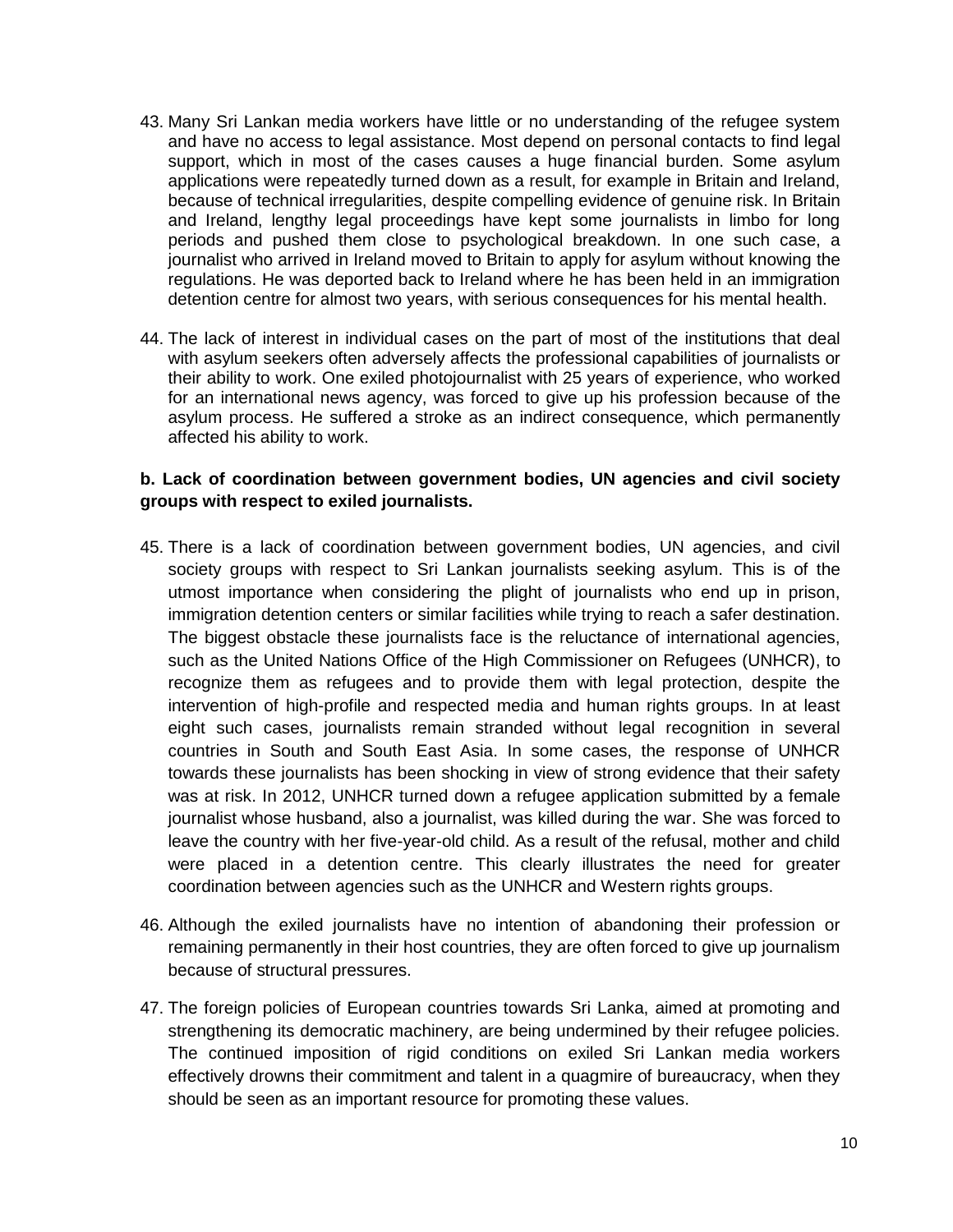- 43. Many Sri Lankan media workers have little or no understanding of the refugee system and have no access to legal assistance. Most depend on personal contacts to find legal support, which in most of the cases causes a huge financial burden. Some asylum applications were repeatedly turned down as a result, for example in Britain and Ireland, because of technical irregularities, despite compelling evidence of genuine risk. In Britain and Ireland, lengthy legal proceedings have kept some journalists in limbo for long periods and pushed them close to psychological breakdown. In one such case, a journalist who arrived in Ireland moved to Britain to apply for asylum without knowing the regulations. He was deported back to Ireland where he has been held in an immigration detention centre for almost two years, with serious consequences for his mental health.
- 44. The lack of interest in individual cases on the part of most of the institutions that deal with asylum seekers often adversely affects the professional capabilities of journalists or their ability to work. One exiled photojournalist with 25 years of experience, who worked for an international news agency, was forced to give up his profession because of the asylum process. He suffered a stroke as an indirect consequence, which permanently affected his ability to work.

## **b. Lack of coordination between government bodies, UN agencies and civil society groups with respect to exiled journalists.**

- 45. There is a lack of coordination between government bodies, UN agencies, and civil society groups with respect to Sri Lankan journalists seeking asylum. This is of the utmost importance when considering the plight of journalists who end up in prison, immigration detention centers or similar facilities while trying to reach a safer destination. The biggest obstacle these journalists face is the reluctance of international agencies, such as the United Nations Office of the High Commissioner on Refugees (UNHCR), to recognize them as refugees and to provide them with legal protection, despite the intervention of high-profile and respected media and human rights groups. In at least eight such cases, journalists remain stranded without legal recognition in several countries in South and South East Asia. In some cases, the response of UNHCR towards these journalists has been shocking in view of strong evidence that their safety was at risk. In 2012, UNHCR turned down a refugee application submitted by a female journalist whose husband, also a journalist, was killed during the war. She was forced to leave the country with her five-year-old child. As a result of the refusal, mother and child were placed in a detention centre. This clearly illustrates the need for greater coordination between agencies such as the UNHCR and Western rights groups.
- 46. Although the exiled journalists have no intention of abandoning their profession or remaining permanently in their host countries, they are often forced to give up journalism because of structural pressures.
- 47. The foreign policies of European countries towards Sri Lanka, aimed at promoting and strengthening its democratic machinery, are being undermined by their refugee policies. The continued imposition of rigid conditions on exiled Sri Lankan media workers effectively drowns their commitment and talent in a quagmire of bureaucracy, when they should be seen as an important resource for promoting these values.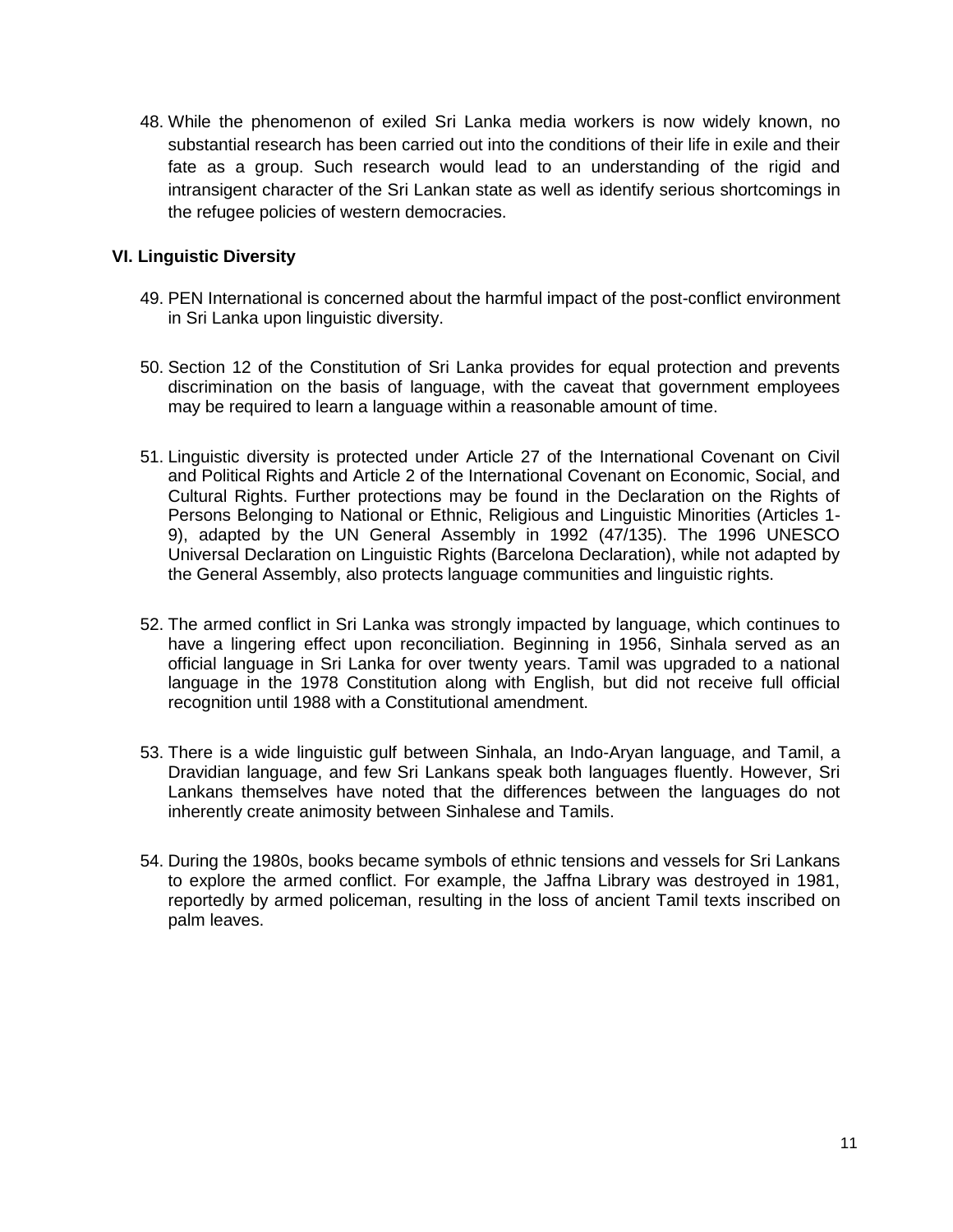48. While the phenomenon of exiled Sri Lanka media workers is now widely known, no substantial research has been carried out into the conditions of their life in exile and their fate as a group. Such research would lead to an understanding of the rigid and intransigent character of the Sri Lankan state as well as identify serious shortcomings in the refugee policies of western democracies.

## <span id="page-10-0"></span>**VI. Linguistic Diversity**

- 49. PEN International is concerned about the harmful impact of the post-conflict environment in Sri Lanka upon linguistic diversity.
- 50. Section 12 of the Constitution of Sri Lanka provides for equal protection and prevents discrimination on the basis of language, with the caveat that government employees may be required to learn a language within a reasonable amount of time.
- 51. Linguistic diversity is protected under Article 27 of the International Covenant on Civil and Political Rights and Article 2 of the International Covenant on Economic, Social, and Cultural Rights. Further protections may be found in the Declaration on the Rights of Persons Belonging to National or Ethnic, Religious and Linguistic Minorities (Articles 1- 9), adapted by the UN General Assembly in 1992 (47/135). The 1996 UNESCO Universal Declaration on Linguistic Rights (Barcelona Declaration), while not adapted by the General Assembly, also protects language communities and linguistic rights.
- 52. The armed conflict in Sri Lanka was strongly impacted by language, which continues to have a lingering effect upon reconciliation. Beginning in 1956, Sinhala served as an official language in Sri Lanka for over twenty years. Tamil was upgraded to a national language in the 1978 Constitution along with English, but did not receive full official recognition until 1988 with a Constitutional amendment.
- 53. There is a wide linguistic gulf between Sinhala, an Indo-Aryan language, and Tamil, a Dravidian language, and few Sri Lankans speak both languages fluently. However, Sri Lankans themselves have noted that the differences between the languages do not inherently create animosity between Sinhalese and Tamils.
- 54. During the 1980s, books became symbols of ethnic tensions and vessels for Sri Lankans to explore the armed conflict. For example, the Jaffna Library was destroyed in 1981, reportedly by armed policeman, resulting in the loss of ancient Tamil texts inscribed on palm leaves.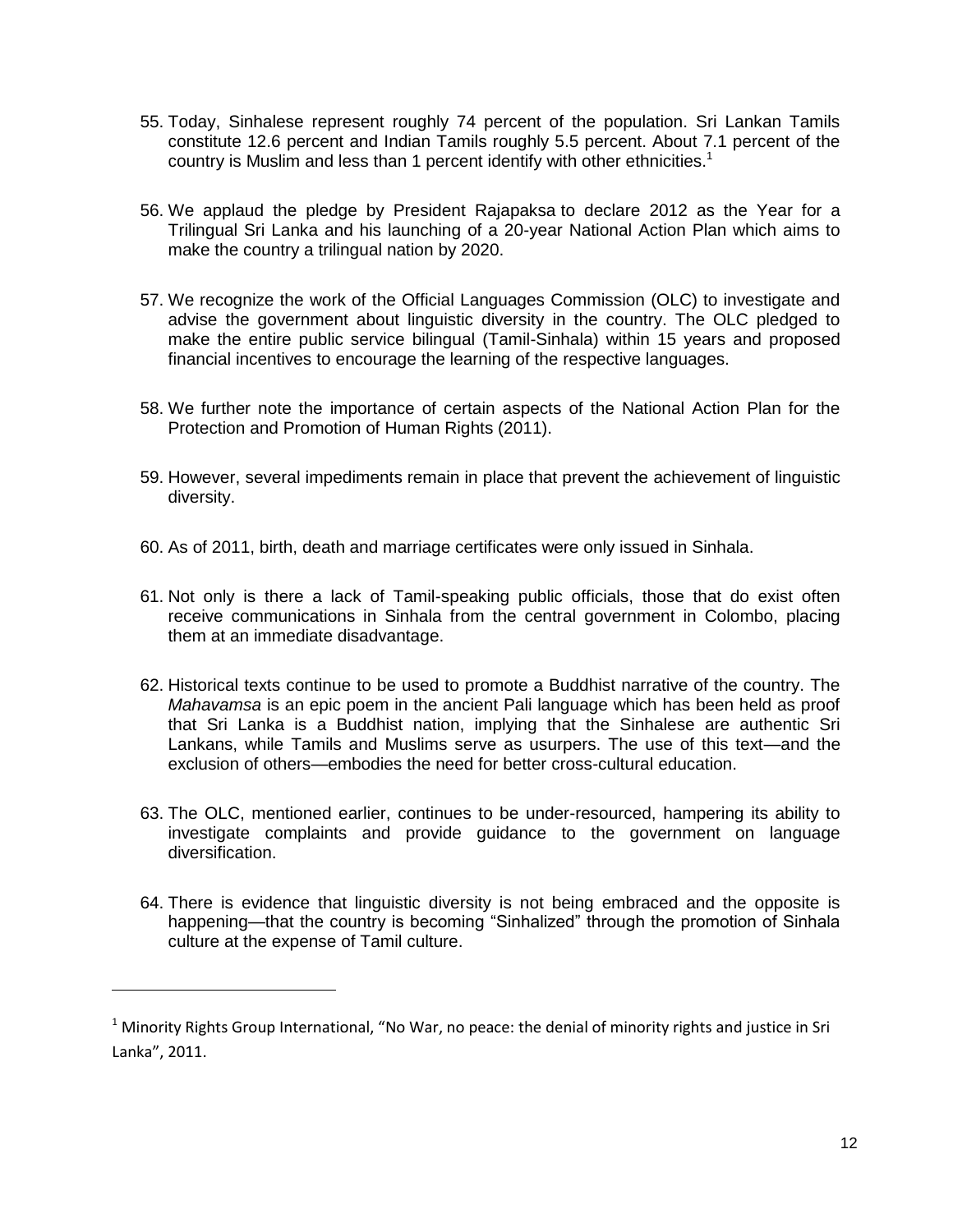- 55. Today, Sinhalese represent roughly 74 percent of the population. Sri Lankan Tamils constitute 12.6 percent and Indian Tamils roughly 5.5 percent. About 7.1 percent of the country is Muslim and less than 1 percent identify with other ethnicities.<sup>1</sup>
- 56. We applaud the pledge by President Rajapaksa to declare 2012 as the Year for a Trilingual Sri Lanka and his launching of a 20-year National Action Plan which aims to make the country a trilingual nation by 2020.
- 57. We recognize the work of the Official Languages Commission (OLC) to investigate and advise the government about linguistic diversity in the country. The OLC pledged to make the entire public service bilingual (Tamil-Sinhala) within 15 years and proposed financial incentives to encourage the learning of the respective languages.
- 58. We further note the importance of certain aspects of the National Action Plan for the Protection and Promotion of Human Rights (2011).
- 59. However, several impediments remain in place that prevent the achievement of linguistic diversity.
- 60. As of 2011, birth, death and marriage certificates were only issued in Sinhala.
- 61. Not only is there a lack of Tamil-speaking public officials, those that do exist often receive communications in Sinhala from the central government in Colombo, placing them at an immediate disadvantage.
- 62. Historical texts continue to be used to promote a Buddhist narrative of the country. The *Mahavamsa* is an epic poem in the ancient Pali language which has been held as proof that Sri Lanka is a Buddhist nation, implying that the Sinhalese are authentic Sri Lankans, while Tamils and Muslims serve as usurpers. The use of this text—and the exclusion of others—embodies the need for better cross-cultural education.
- 63. The OLC, mentioned earlier, continues to be under-resourced, hampering its ability to investigate complaints and provide guidance to the government on language diversification.
- 64. There is evidence that linguistic diversity is not being embraced and the opposite is happening—that the country is becoming "Sinhalized" through the promotion of Sinhala culture at the expense of Tamil culture.

 $\overline{\phantom{a}}$ 

 $1$  Minority Rights Group International, "No War, no peace: the denial of minority rights and justice in Sri Lanka", 2011.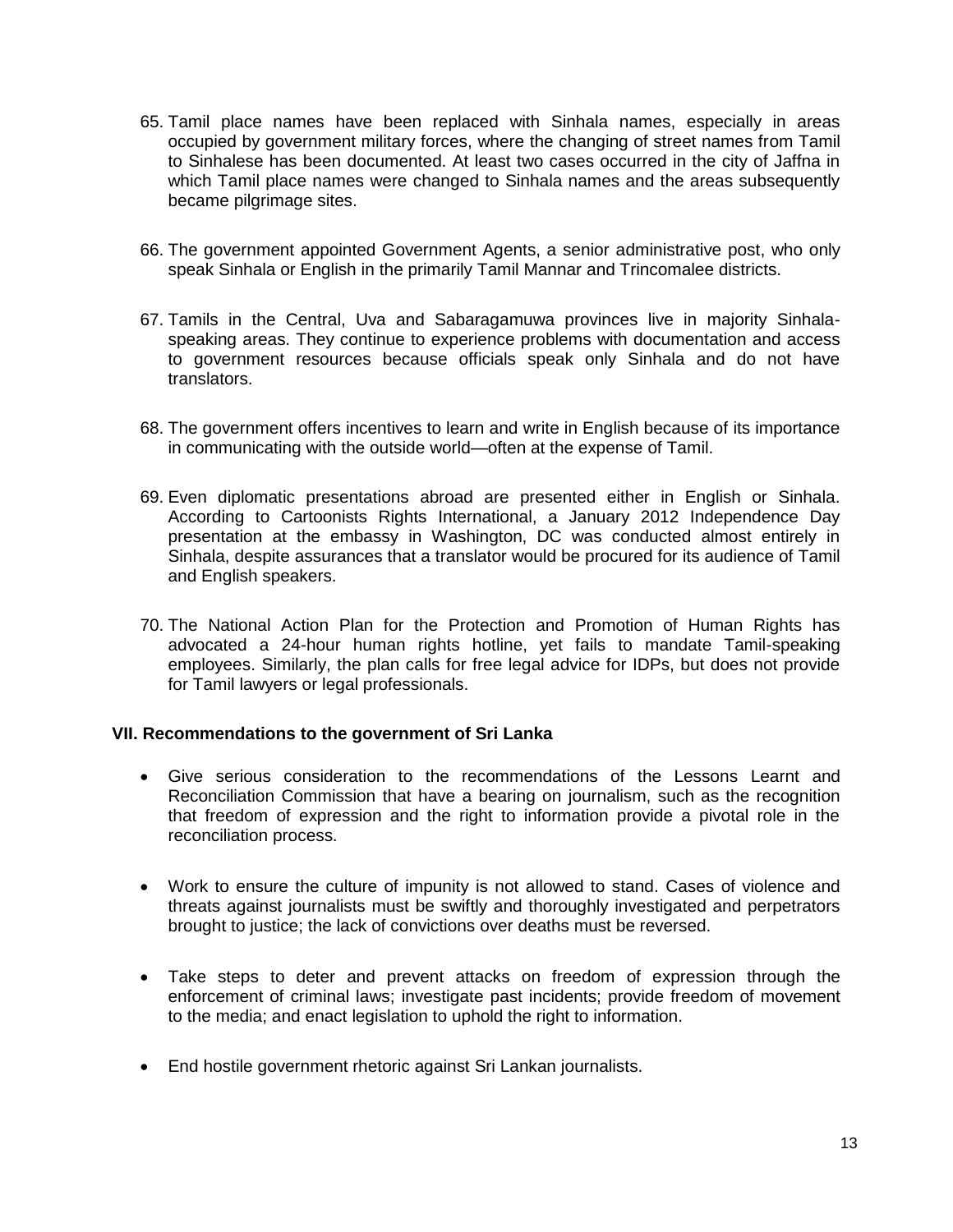- 65. Tamil place names have been replaced with Sinhala names, especially in areas occupied by government military forces, where the changing of street names from Tamil to Sinhalese has been documented. At least two cases occurred in the city of Jaffna in which Tamil place names were changed to Sinhala names and the areas subsequently became pilgrimage sites.
- 66. The government appointed Government Agents, a senior administrative post, who only speak Sinhala or English in the primarily Tamil Mannar and Trincomalee districts.
- 67. Tamils in the Central, Uva and Sabaragamuwa provinces live in majority Sinhalaspeaking areas. They continue to experience problems with documentation and access to government resources because officials speak only Sinhala and do not have translators.
- 68. The government offers incentives to learn and write in English because of its importance in communicating with the outside world—often at the expense of Tamil.
- 69. Even diplomatic presentations abroad are presented either in English or Sinhala. According to Cartoonists Rights International, a January 2012 Independence Day presentation at the embassy in Washington, DC was conducted almost entirely in Sinhala, despite assurances that a translator would be procured for its audience of Tamil and English speakers.
- 70. The National Action Plan for the Protection and Promotion of Human Rights has advocated a 24-hour human rights hotline, yet fails to mandate Tamil-speaking employees. Similarly, the plan calls for free legal advice for IDPs, but does not provide for Tamil lawyers or legal professionals.

## <span id="page-12-0"></span>**VII. Recommendations to the government of Sri Lanka**

- Give serious consideration to the recommendations of the Lessons Learnt and Reconciliation Commission that have a bearing on journalism, such as the recognition that freedom of expression and the right to information provide a pivotal role in the reconciliation process.
- Work to ensure the culture of impunity is not allowed to stand. Cases of violence and threats against journalists must be swiftly and thoroughly investigated and perpetrators brought to justice; the lack of convictions over deaths must be reversed.
- Take steps to deter and prevent attacks on freedom of expression through the enforcement of criminal laws; investigate past incidents; provide freedom of movement to the media; and enact legislation to uphold the right to information.
- End hostile government rhetoric against Sri Lankan journalists.